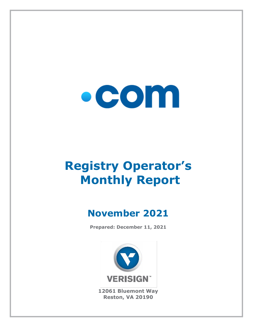

# **Registry Operator's Monthly Report**

## **November 2021**

**Prepared: December 11, 2021**



**12061 Bluemont Way Reston, VA 20190**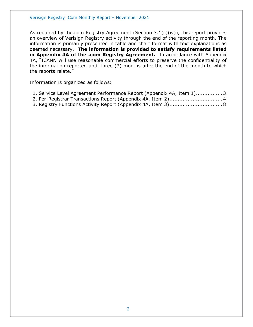As required by the.com Registry Agreement (Section  $3.1(c)(iv)$ ), this report provides an overview of Verisign Registry activity through the end of the reporting month. The information is primarily presented in table and chart format with text explanations as deemed necessary. **The information is provided to satisfy requirements listed in Appendix 4A of the .com Registry Agreement.** In accordance with Appendix 4A, "ICANN will use reasonable commercial efforts to preserve the confidentiality of the information reported until three (3) months after the end of the month to which the reports relate."

Information is organized as follows:

| 1. Service Level Agreement Performance Report (Appendix 4A, Item 1)3 |  |  |
|----------------------------------------------------------------------|--|--|
|----------------------------------------------------------------------|--|--|

- [2. Per-Registrar Transactions Report \(Appendix 4A,](#page-3-0) Item 2)................................4
- [3. Registry Functions Activity Report \(Appendix 4A, Item 3\)................................8](#page-7-0)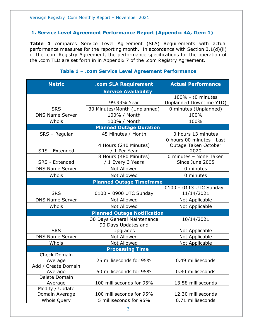#### <span id="page-2-0"></span>**1. Service Level Agreement Performance Report (Appendix 4A, Item 1)**

**Table 1** compares Service Level Agreement (SLA) Requirements with actual performance measures for the reporting month. In accordance with Section 3.1(d)(ii) of the .com Registry Agreement, the performance specifications for the operation of the .com TLD are set forth in in Appendix 7 of the .com Registry Agreement.

#### **Metric .com SLA Requirement Actual Performance Service Availability** SRS 99.99% Year 100% - (0 minutes Unplanned Downtime YTD) 30 Minutes/Month (Unplanned) | 0 minutes (Unplanned) DNS Name Server | 100% / Month | 100% Whois 100% / Month 100% **Planned Outage Duration** SRS – Regular | 45 Minutes / Month | 0 hours 13 minutes SRS - Extended 4 Hours (240 Minutes) / 1 Per Year 0 hours 00 minutes - Last Outage Taken October 2020 SRS - Extended 8 Hours (480 Minutes) / 1 Every 3 Years 0 minutes – None Taken Since June 2005 DNS Name Server  $\begin{array}{ccc} \hline \text{Not} & \text{Allowed} & \text{O} & \text{O} \\ \hline \end{array}$ Whois  $\vert$  Not Allowed  $\vert$  0 minutes **Planned Outage Timeframe** SRS | 0100 – 0900 UTC Sunday 0100 – 0113 UTC Sunday 11/14/2021 DNS Name Server | Not Allowed | Not Applicable Whois  $\vert$  Not Allowed  $\vert$  Not Applicable **Planned Outage Notification** SRS 30 Days General Maintenance 10/14/2021 90 Days Updates and Upgrades | Not Applicable DNS Name Server | Not Allowed | Not Applicable Whois | Not Allowed | Not Applicable **Processing Time** Check Domain Average 25 milliseconds for 95% 0.49 milliseconds Add / Create Domain Average 1.1 50 milliseconds for 95% 1.1 0.80 milliseconds Delete Domain Average 100 milliseconds for 95% 13.58 milliseconds Modify / Update Domain Average 100 milliseconds for 95% 12.30 milliseconds Whois Query 5 milliseconds for 95% 0.71 milliseconds

#### **Table 1 – .com Service Level Agreement Performance**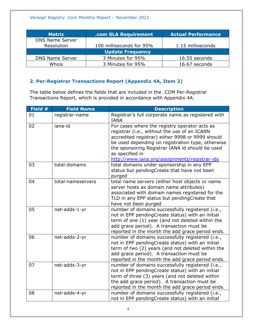| <b>Metric</b>           | .com SLA Requirement     | <b>Actual Performance</b> |  |
|-------------------------|--------------------------|---------------------------|--|
| <b>DNS Name Server</b>  |                          |                           |  |
| Resolution              | 100 milliseconds for 95% | 1.15 milliseconds         |  |
| <b>Update Frequency</b> |                          |                           |  |
| <b>DNS Name Server</b>  | 3 Minutes for 95%        | 16.55 seconds             |  |
| Whois                   | 3 Minutes for 95%        | 16.67 seconds             |  |

#### <span id="page-3-0"></span>**2. Per-Registrar Transactions Report (Appendix 4A, Item 2)**

The table below defines the fields that are included in the .COM Per-Registrar Transactions Report, which is provided in accordance with Appendix 4A.

| Field # | <b>Field Name</b> | <b>Description</b>                                                                                                                                                                                                                                                                                                            |
|---------|-------------------|-------------------------------------------------------------------------------------------------------------------------------------------------------------------------------------------------------------------------------------------------------------------------------------------------------------------------------|
| 01      | registrar-name    | Registrar's full corporate name as registered with<br><b>IANA</b>                                                                                                                                                                                                                                                             |
| 02      | iana-id           | For cases where the registry operator acts as<br>registrar (i.e., without the use of an ICANN<br>accredited registrar) either 9998 or 9999 should<br>be used depending on registration type, otherwise<br>the sponsoring Registrar IANA id should be used<br>as specified in<br>http://www.iana.org/assignments/registrar-ids |
| 03      | total-domains     | total domains under sponsorship in any EPP<br>status but pendingCreate that have not been<br>purged                                                                                                                                                                                                                           |
| 04      | total-nameservers | total name servers (either host objects or name<br>server hosts as domain name attributes)<br>associated with domain names registered for the<br>TLD in any EPP status but pendingCreate that<br>have not been purged                                                                                                         |
| 05      | net-adds-1-yr     | number of domains successfully registered (i.e.,<br>not in EPP pendingCreate status) with an initial<br>term of one (1) year (and not deleted within the<br>add grace period). A transaction must be<br>reported in the month the add grace period ends.                                                                      |
| 06      | net-adds-2-yr     | number of domains successfully registered (i.e.,<br>not in EPP pendingCreate status) with an initial<br>term of two (2) years (and not deleted within the<br>add grace period). A transaction must be<br>reported in the month the add grace period ends.                                                                     |
| 07      | net-adds-3-yr     | number of domains successfully registered (i.e.,<br>not in EPP pendingCreate status) with an initial<br>term of three (3) years (and not deleted within<br>the add grace period). A transaction must be<br>reported in the month the add grace period ends.                                                                   |
| 08      | net-adds-4-yr     | number of domains successfully registered (i.e.,<br>not in EPP pendingCreate status) with an initial                                                                                                                                                                                                                          |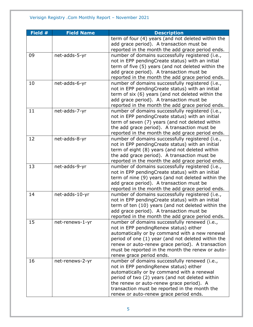| Field # | <b>Field Name</b> | <b>Description</b>                                                                      |
|---------|-------------------|-----------------------------------------------------------------------------------------|
|         |                   | term of four (4) years (and not deleted within the                                      |
|         |                   | add grace period). A transaction must be                                                |
|         |                   | reported in the month the add grace period ends.                                        |
| 09      | net-adds-5-yr     | number of domains successfully registered (i.e.,                                        |
|         |                   | not in EPP pendingCreate status) with an initial                                        |
|         |                   | term of five (5) years (and not deleted within the                                      |
|         |                   | add grace period). A transaction must be                                                |
|         |                   | reported in the month the add grace period ends.                                        |
| 10      | net-adds-6-yr     | number of domains successfully registered (i.e.,                                        |
|         |                   | not in EPP pendingCreate status) with an initial                                        |
|         |                   | term of six (6) years (and not deleted within the                                       |
|         |                   | add grace period). A transaction must be                                                |
|         |                   | reported in the month the add grace period ends.                                        |
| 11      | net-adds-7-yr     | number of domains successfully registered (i.e.,                                        |
|         |                   | not in EPP pendingCreate status) with an initial                                        |
|         |                   | term of seven (7) years (and not deleted within                                         |
|         |                   | the add grace period). A transaction must be                                            |
|         |                   | reported in the month the add grace period ends.                                        |
| 12      | net-adds-8-yr     | number of domains successfully registered (i.e.,                                        |
|         |                   | not in EPP pendingCreate status) with an initial                                        |
|         |                   | term of eight (8) years (and not deleted within                                         |
|         |                   | the add grace period). A transaction must be                                            |
|         |                   | reported in the month the add grace period ends.                                        |
| 13      | net-adds-9-yr     | number of domains successfully registered (i.e.,                                        |
|         |                   | not in EPP pendingCreate status) with an initial                                        |
|         |                   | term of nine (9) years (and not deleted within the                                      |
|         |                   | add grace period). A transaction must be                                                |
|         |                   | reported in the month the add grace period ends.                                        |
| 14      | net-adds-10-yr    | number of domains successfully registered (i.e.,                                        |
|         |                   | not in EPP pendingCreate status) with an initial                                        |
|         |                   | term of ten (10) years (and not deleted within the                                      |
|         |                   | add grace period). A transaction must be                                                |
| 15      |                   | reported in the month the add grace period ends.                                        |
|         | net-renews-1-yr   | number of domains successfully renewed (i.e.,<br>not in EPP pendingRenew status) either |
|         |                   | automatically or by command with a new renewal                                          |
|         |                   | period of one (1) year (and not deleted within the                                      |
|         |                   | renew or auto-renew grace period). A transaction                                        |
|         |                   | must be reported in the month the renew or auto-                                        |
|         |                   | renew grace period ends.                                                                |
| 16      | net-renews-2-yr   | number of domains successfully renewed (i.e.,                                           |
|         |                   | not in EPP pendingRenew status) either                                                  |
|         |                   | automatically or by command with a renewal                                              |
|         |                   | period of two (2) years (and not deleted within                                         |
|         |                   | the renew or auto-renew grace period). A                                                |
|         |                   | transaction must be reported in the month the                                           |
|         |                   | renew or auto-renew grace period ends.                                                  |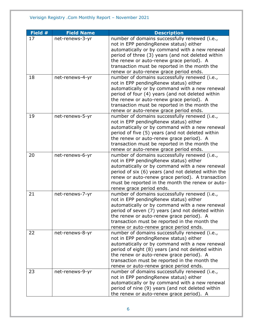| Field # | <b>Field Name</b> | <b>Description</b>                                                                                  |
|---------|-------------------|-----------------------------------------------------------------------------------------------------|
| 17      | net-renews-3-yr   | number of domains successfully renewed (i.e.,                                                       |
|         |                   | not in EPP pendingRenew status) either                                                              |
|         |                   | automatically or by command with a new renewal                                                      |
|         |                   | period of three (3) years (and not deleted within                                                   |
|         |                   | the renew or auto-renew grace period). A                                                            |
|         |                   | transaction must be reported in the month the                                                       |
|         |                   | renew or auto-renew grace period ends.                                                              |
| 18      | net-renews-4-yr   | number of domains successfully renewed (i.e.,                                                       |
|         |                   | not in EPP pendingRenew status) either                                                              |
|         |                   | automatically or by command with a new renewal                                                      |
|         |                   | period of four (4) years (and not deleted within                                                    |
|         |                   | the renew or auto-renew grace period). A                                                            |
|         |                   | transaction must be reported in the month the                                                       |
|         |                   | renew or auto-renew grace period ends.                                                              |
| 19      | net-renews-5-yr   | number of domains successfully renewed (i.e.,                                                       |
|         |                   | not in EPP pendingRenew status) either                                                              |
|         |                   | automatically or by command with a new renewal                                                      |
|         |                   | period of five (5) years (and not deleted within                                                    |
|         |                   | the renew or auto-renew grace period). A                                                            |
|         |                   | transaction must be reported in the month the                                                       |
|         |                   | renew or auto-renew grace period ends.                                                              |
| 20      | net-renews-6-yr   | number of domains successfully renewed (i.e.,                                                       |
|         |                   | not in EPP pendingRenew status) either                                                              |
|         |                   | automatically or by command with a new renewal                                                      |
|         |                   | period of six (6) years (and not deleted within the                                                 |
|         |                   | renew or auto-renew grace period). A transaction                                                    |
|         |                   | must be reported in the month the renew or auto-                                                    |
|         |                   | renew grace period ends.                                                                            |
| 21      | net-renews-7-yr   | number of domains successfully renewed (i.e.,                                                       |
|         |                   | not in EPP pendingRenew status) either                                                              |
|         |                   | automatically or by command with a new renewal                                                      |
|         |                   | period of seven (7) years (and not deleted within                                                   |
|         |                   | the renew or auto-renew grace period). A                                                            |
|         |                   | transaction must be reported in the month the                                                       |
|         |                   | renew or auto-renew grace period ends.                                                              |
| 22      | net-renews-8-yr   | number of domains successfully renewed (i.e.,                                                       |
|         |                   | not in EPP pendingRenew status) either                                                              |
|         |                   | automatically or by command with a new renewal<br>period of eight (8) years (and not deleted within |
|         |                   | the renew or auto-renew grace period). A                                                            |
|         |                   | transaction must be reported in the month the                                                       |
|         |                   | renew or auto-renew grace period ends.                                                              |
| 23      | net-renews-9-yr   | number of domains successfully renewed (i.e.,                                                       |
|         |                   | not in EPP pendingRenew status) either                                                              |
|         |                   | automatically or by command with a new renewal                                                      |
|         |                   | period of nine (9) years (and not deleted within                                                    |
|         |                   |                                                                                                     |
|         |                   | the renew or auto-renew grace period). A                                                            |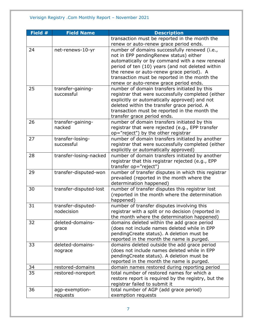| Field # | <b>Field Name</b>      | <b>Description</b>                                  |
|---------|------------------------|-----------------------------------------------------|
|         |                        | transaction must be reported in the month the       |
|         |                        | renew or auto-renew grace period ends.              |
| 24      | net-renews-10-yr       | number of domains successfully renewed (i.e.,       |
|         |                        | not in EPP pendingRenew status) either              |
|         |                        | automatically or by command with a new renewal      |
|         |                        | period of ten (10) years (and not deleted within    |
|         |                        | the renew or auto-renew grace period). A            |
|         |                        | transaction must be reported in the month the       |
|         |                        | renew or auto-renew grace period ends.              |
| 25      | transfer-gaining-      | number of domain transfers initiated by this        |
|         | successful             | registrar that were successfully completed (either  |
|         |                        | explicitly or automatically approved) and not       |
|         |                        | deleted within the transfer grace period. A         |
|         |                        | transaction must be reported in the month the       |
|         |                        | transfer grace period ends.                         |
| 26      | transfer-gaining-      | number of domain transfers initiated by this        |
|         | nacked                 | registrar that were rejected (e.g., EPP transfer    |
|         |                        | op="reject") by the other registrar                 |
| 27      | transfer-losing-       | number of domain transfers initiated by another     |
|         | successful             | registrar that were successfully completed (either  |
|         |                        | explicitly or automatically approved)               |
| 28      | transfer-losing-nacked | number of domain transfers initiated by another     |
|         |                        | registrar that this registrar rejected (e.g., EPP   |
|         |                        | transfer op="reject")                               |
| 29      | transfer-disputed-won  | number of transfer disputes in which this registrar |
|         |                        | prevailed (reported in the month where the          |
|         |                        | determination happened)                             |
| 30      | transfer-disputed-lost | number of transfer disputes this registrar lost     |
|         |                        | (reported in the month where the determination      |
|         |                        | happened)                                           |
| 31      | transfer-disputed-     | number of transfer disputes involving this          |
|         | nodecision             | registrar with a split or no decision (reported in  |
|         |                        | the month where the determination happened)         |
| 32      | deleted-domains-       | domains deleted within the add grace period         |
|         | grace                  | (does not include names deleted while in EPP        |
|         |                        | pendingCreate status). A deletion must be           |
|         |                        | reported in the month the name is purged.           |
| 33      | deleted-domains-       | domains deleted outside the add grace period        |
|         | nograce                | (does not include names deleted while in EPP        |
|         |                        | pendingCreate status). A deletion must be           |
|         |                        | reported in the month the name is purged.           |
| 34      | restored-domains       | domain names restored during reporting period       |
| 35      | restored-noreport      | total number of restored names for which a          |
|         |                        | restore report is required by the registry, but the |
|         |                        | registrar failed to submit it                       |
| 36      | agp-exemption-         | total number of AGP (add grace period)              |
|         | requests               | exemption requests                                  |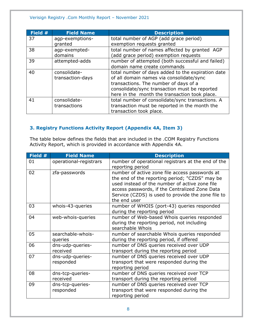#### Verisign Registry .Com Monthly Report – November 2021

| Field # | <b>Field Name</b> | <b>Description</b>                                |
|---------|-------------------|---------------------------------------------------|
| 37      | agp-exemptions-   | total number of AGP (add grace period)            |
|         | granted           | exemption requests granted                        |
| 38      | agp-exempted-     | total number of names affected by granted AGP     |
|         | domains           | (add grace period) exemption requests             |
| 39      | attempted-adds    | number of attempted (both successful and failed)  |
|         |                   | domain name create commands                       |
| 40      | consolidate-      | total number of days added to the expiration date |
|         | transaction-days  | of all domain names via consolidate/sync          |
|         |                   | transactions. The number of days of a             |
|         |                   | consolidate/sync transaction must be reported     |
|         |                   | here in the month the transaction took place.     |
| 41      | consolidate-      | total number of consolidate/sync transactions. A  |
|         | transactions      | transaction must be reported in the month the     |
|         |                   | transaction took place.                           |

#### <span id="page-7-0"></span>**3. Registry Functions Activity Report (Appendix 4A, Item 3)**

The table below defines the fields that are included in the .COM Registry Functions Activity Report, which is provided in accordance with Appendix 4A.

| Field # | <b>Field Name</b>             | <b>Description</b>                                                                                                                                                                                                                                                         |
|---------|-------------------------------|----------------------------------------------------------------------------------------------------------------------------------------------------------------------------------------------------------------------------------------------------------------------------|
| 01      | operational-registrars        | number of operational registrars at the end of the<br>reporting period                                                                                                                                                                                                     |
| 02      | zfa-passwords                 | number of active zone file access passwords at<br>the end of the reporting period; "CZDS" may be<br>used instead of the number of active zone file<br>access passwords, if the Centralized Zone Data<br>Service (CZDS) is used to provide the zone file to<br>the end user |
| 03      | whois-43-queries              | number of WHOIS (port-43) queries responded<br>during the reporting period                                                                                                                                                                                                 |
| 04      | web-whois-queries             | number of Web-based Whois queries responded<br>during the reporting period, not including<br>searchable Whois                                                                                                                                                              |
| 05      | searchable-whois-<br>queries  | number of searchable Whois queries responded<br>during the reporting period, if offered                                                                                                                                                                                    |
| 06      | dns-udp-queries-<br>received  | number of DNS queries received over UDP<br>transport during the reporting period                                                                                                                                                                                           |
| 07      | dns-udp-queries-<br>responded | number of DNS queries received over UDP<br>transport that were responded during the<br>reporting period                                                                                                                                                                    |
| 08      | dns-tcp-queries-<br>received  | number of DNS queries received over TCP<br>transport during the reporting period                                                                                                                                                                                           |
| 09      | dns-tcp-queries-<br>responded | number of DNS queries received over TCP<br>transport that were responded during the<br>reporting period                                                                                                                                                                    |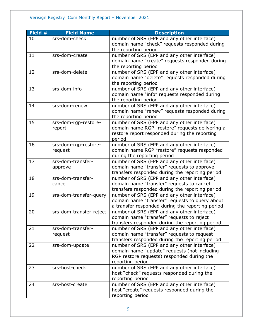### Verisign Registry .Com Monthly Report – November 2021

| <b>Description</b>                               |
|--------------------------------------------------|
| number of SRS (EPP and any other interface)      |
| domain name "check" requests responded during    |
|                                                  |
| number of SRS (EPP and any other interface)      |
| domain name "create" requests responded during   |
|                                                  |
| number of SRS (EPP and any other interface)      |
| domain name "delete" requests responded during   |
|                                                  |
| number of SRS (EPP and any other interface)      |
| domain name "info" requests responded during     |
|                                                  |
| number of SRS (EPP and any other interface)      |
| domain name "renew" requests responded during    |
|                                                  |
| number of SRS (EPP and any other interface)      |
| domain name RGP "restore" requests delivering a  |
| restore report responded during the reporting    |
|                                                  |
| number of SRS (EPP and any other interface)      |
| domain name RGP "restore" requests responded     |
|                                                  |
| number of SRS (EPP and any other interface)      |
| domain name "transfer" requests to approve       |
| transfers responded during the reporting period  |
| number of SRS (EPP and any other interface)      |
| domain name "transfer" requests to cancel        |
| transfers responded during the reporting period  |
| number of SRS (EPP and any other interface)      |
| domain name "transfer" requests to query about   |
| a transfer responded during the reporting period |
| number of SRS (EPP and any other interface)      |
| domain name "transfer" requests to reject        |
| transfers responded during the reporting period  |
| number of SRS (EPP and any other interface)      |
| domain name "transfer" requests to request       |
| transfers responded during the reporting period  |
| number of SRS (EPP and any other interface)      |
| domain name "update" requests (not including     |
| RGP restore requests) responded during the       |
|                                                  |
| number of SRS (EPP and any other interface)      |
| host "check" requests responded during the       |
|                                                  |
| number of SRS (EPP and any other interface)      |
| host "create" requests responded during the      |
|                                                  |
|                                                  |